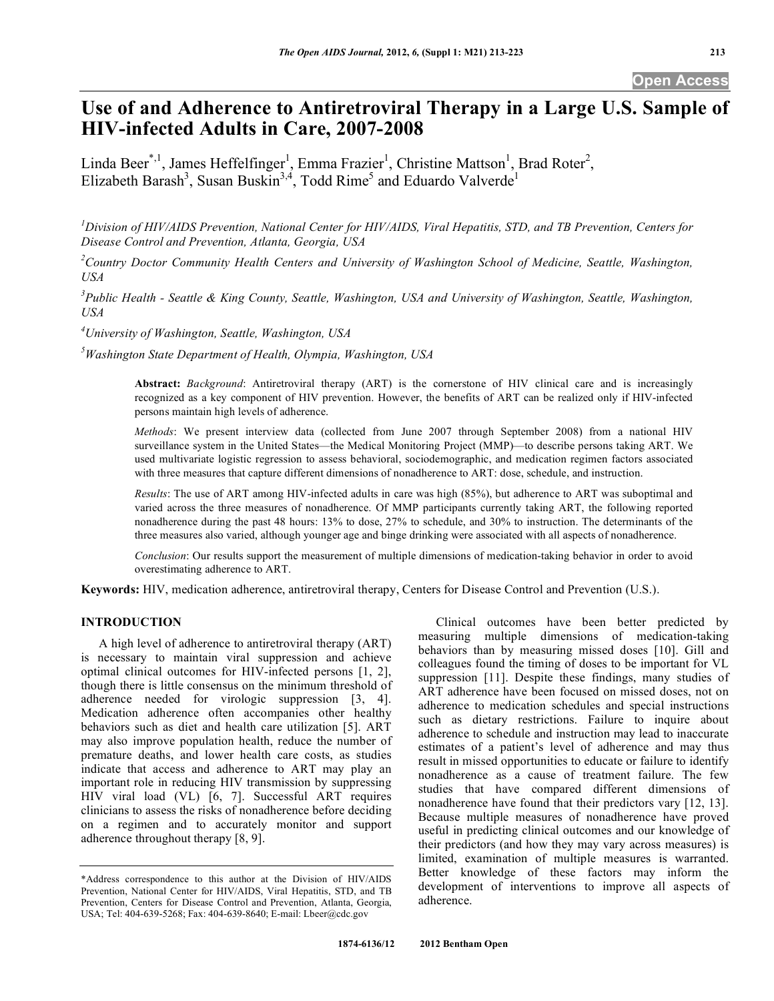# **Use of and Adherence to Antiretroviral Therapy in a Large U.S. Sample of HIV-infected Adults in Care, 2007-2008**

Linda Beer<sup>\*,1</sup>, James Heffelfinger<sup>1</sup>, Emma Frazier<sup>1</sup>, Christine Mattson<sup>1</sup>, Brad Roter<sup>2</sup>, Elizabeth Barash<sup>3</sup>, Susan Buskin<sup>3,4</sup>, Todd Rime<sup>5</sup> and Eduardo Valverde<sup>1</sup>

*1 Division of HIV/AIDS Prevention, National Center for HIV/AIDS, Viral Hepatitis, STD, and TB Prevention, Centers for Disease Control and Prevention, Atlanta, Georgia, USA* 

<sup>2</sup> Country Doctor Community Health Centers and University of Washington School of Medicine, Seattle, Washington, *USA* 

<sup>3</sup> Public Health - Seattle & King County, Seattle, Washington, USA and University of Washington, Seattle, Washington, *USA* 

*4 University of Washington, Seattle, Washington, USA* 

*5 Washington State Department of Health, Olympia, Washington, USA* 

**Abstract:** *Background*: Antiretroviral therapy (ART) is the cornerstone of HIV clinical care and is increasingly recognized as a key component of HIV prevention. However, the benefits of ART can be realized only if HIV-infected persons maintain high levels of adherence.

*Methods*: We present interview data (collected from June 2007 through September 2008) from a national HIV surveillance system in the United States—the Medical Monitoring Project (MMP)—to describe persons taking ART. We used multivariate logistic regression to assess behavioral, sociodemographic, and medication regimen factors associated with three measures that capture different dimensions of nonadherence to ART: dose, schedule, and instruction.

*Results*: The use of ART among HIV-infected adults in care was high (85%), but adherence to ART was suboptimal and varied across the three measures of nonadherence. Of MMP participants currently taking ART, the following reported nonadherence during the past 48 hours: 13% to dose, 27% to schedule, and 30% to instruction. The determinants of the three measures also varied, although younger age and binge drinking were associated with all aspects of nonadherence.

*Conclusion*: Our results support the measurement of multiple dimensions of medication-taking behavior in order to avoid overestimating adherence to ART.

**Keywords:** HIV, medication adherence, antiretroviral therapy, Centers for Disease Control and Prevention (U.S.).

## **INTRODUCTION**

 A high level of adherence to antiretroviral therapy (ART) is necessary to maintain viral suppression and achieve optimal clinical outcomes for HIV-infected persons [1, 2], though there is little consensus on the minimum threshold of adherence needed for virologic suppression [3, 4]. Medication adherence often accompanies other healthy behaviors such as diet and health care utilization [5]. ART may also improve population health, reduce the number of premature deaths, and lower health care costs, as studies indicate that access and adherence to ART may play an important role in reducing HIV transmission by suppressing HIV viral load (VL) [6, 7]. Successful ART requires clinicians to assess the risks of nonadherence before deciding on a regimen and to accurately monitor and support adherence throughout therapy [8, 9].

 Clinical outcomes have been better predicted by measuring multiple dimensions of medication-taking behaviors than by measuring missed doses [10]. Gill and colleagues found the timing of doses to be important for VL suppression [11]. Despite these findings, many studies of ART adherence have been focused on missed doses, not on adherence to medication schedules and special instructions such as dietary restrictions. Failure to inquire about adherence to schedule and instruction may lead to inaccurate estimates of a patient's level of adherence and may thus result in missed opportunities to educate or failure to identify nonadherence as a cause of treatment failure. The few studies that have compared different dimensions of nonadherence have found that their predictors vary [12, 13]. Because multiple measures of nonadherence have proved useful in predicting clinical outcomes and our knowledge of their predictors (and how they may vary across measures) is limited, examination of multiple measures is warranted. Better knowledge of these factors may inform the development of interventions to improve all aspects of adherence.

<sup>\*</sup>Address correspondence to this author at the Division of HIV/AIDS Prevention, National Center for HIV/AIDS, Viral Hepatitis, STD, and TB Prevention, Centers for Disease Control and Prevention, Atlanta, Georgia, USA; Tel: 404-639-5268; Fax: 404-639-8640; E-mail: Lbeer@cdc.gov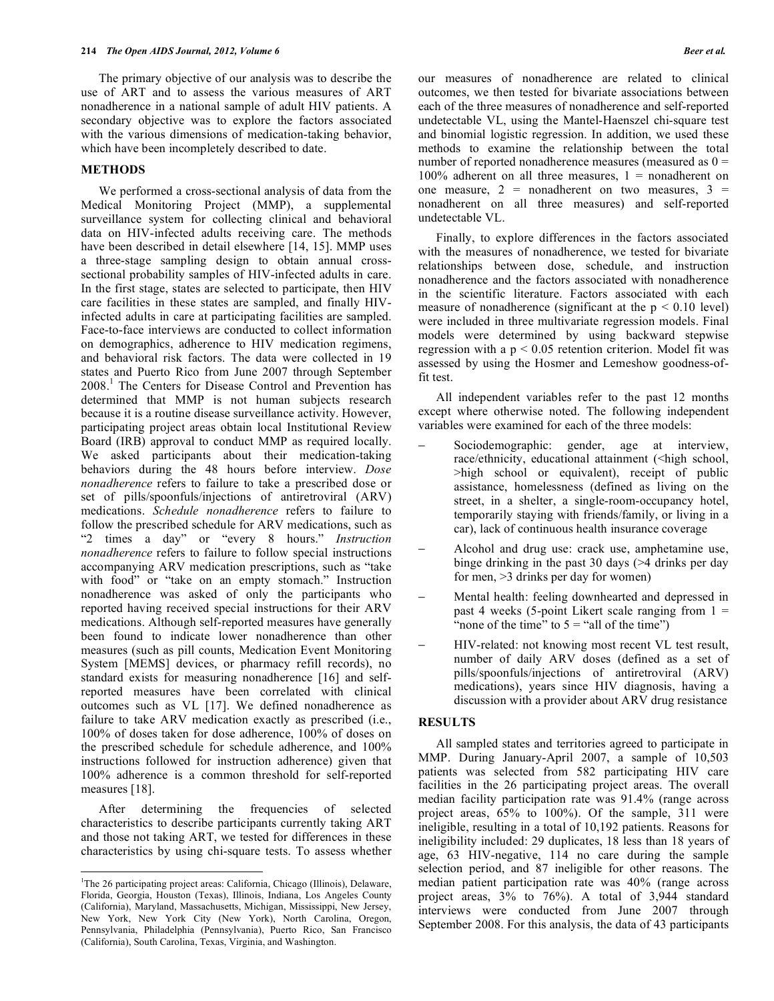The primary objective of our analysis was to describe the use of ART and to assess the various measures of ART nonadherence in a national sample of adult HIV patients. A secondary objective was to explore the factors associated with the various dimensions of medication-taking behavior, which have been incompletely described to date.

## **METHODS**

 We performed a cross-sectional analysis of data from the Medical Monitoring Project (MMP), a supplemental surveillance system for collecting clinical and behavioral data on HIV-infected adults receiving care. The methods have been described in detail elsewhere [14, 15]. MMP uses a three-stage sampling design to obtain annual crosssectional probability samples of HIV-infected adults in care. In the first stage, states are selected to participate, then HIV care facilities in these states are sampled, and finally HIVinfected adults in care at participating facilities are sampled. Face-to-face interviews are conducted to collect information on demographics, adherence to HIV medication regimens, and behavioral risk factors. The data were collected in 19 states and Puerto Rico from June 2007 through September 2008.1 The Centers for Disease Control and Prevention has determined that MMP is not human subjects research because it is a routine disease surveillance activity. However, participating project areas obtain local Institutional Review Board (IRB) approval to conduct MMP as required locally. We asked participants about their medication-taking behaviors during the 48 hours before interview. *Dose nonadherence* refers to failure to take a prescribed dose or set of pills/spoonfuls/injections of antiretroviral (ARV) medications. *Schedule nonadherence* refers to failure to follow the prescribed schedule for ARV medications, such as "2 times a day" or "every 8 hours." *Instruction nonadherence* refers to failure to follow special instructions accompanying ARV medication prescriptions, such as "take with food" or "take on an empty stomach." Instruction nonadherence was asked of only the participants who reported having received special instructions for their ARV medications. Although self-reported measures have generally been found to indicate lower nonadherence than other measures (such as pill counts, Medication Event Monitoring System [MEMS] devices, or pharmacy refill records), no standard exists for measuring nonadherence [16] and selfreported measures have been correlated with clinical outcomes such as VL [17]. We defined nonadherence as failure to take ARV medication exactly as prescribed (i.e., 100% of doses taken for dose adherence, 100% of doses on the prescribed schedule for schedule adherence, and 100% instructions followed for instruction adherence) given that 100% adherence is a common threshold for self-reported measures [18].

 After determining the frequencies of selected characteristics to describe participants currently taking ART and those not taking ART, we tested for differences in these characteristics by using chi-square tests. To assess whether

1

our measures of nonadherence are related to clinical outcomes, we then tested for bivariate associations between each of the three measures of nonadherence and self-reported undetectable VL, using the Mantel-Haenszel chi-square test and binomial logistic regression. In addition, we used these methods to examine the relationship between the total number of reported nonadherence measures (measured as  $0 =$ 100% adherent on all three measures,  $1 =$  nonadherent on one measure,  $2 =$  nonadherent on two measures,  $3 =$ nonadherent on all three measures) and self-reported undetectable VL.

 Finally, to explore differences in the factors associated with the measures of nonadherence, we tested for bivariate relationships between dose, schedule, and instruction nonadherence and the factors associated with nonadherence in the scientific literature. Factors associated with each measure of nonadherence (significant at the  $p < 0.10$  level) were included in three multivariate regression models. Final models were determined by using backward stepwise regression with a  $p < 0.05$  retention criterion. Model fit was assessed by using the Hosmer and Lemeshow goodness-offit test.

 All independent variables refer to the past 12 months except where otherwise noted. The following independent variables were examined for each of the three models:

- Sociodemographic: gender, age at interview, race/ethnicity, educational attainment (<high school, >high school or equivalent), receipt of public assistance, homelessness (defined as living on the street, in a shelter, a single-room-occupancy hotel, temporarily staying with friends/family, or living in a car), lack of continuous health insurance coverage
- Alcohol and drug use: crack use, amphetamine use, binge drinking in the past 30 days (>4 drinks per day for men, >3 drinks per day for women)
- Mental health: feeling downhearted and depressed in past 4 weeks (5-point Likert scale ranging from  $1 =$ "none of the time" to  $5 =$  "all of the time")
- HIV-related: not knowing most recent VL test result, number of daily ARV doses (defined as a set of pills/spoonfuls/injections of antiretroviral (ARV) medications), years since HIV diagnosis, having a discussion with a provider about ARV drug resistance

## **RESULTS**

 All sampled states and territories agreed to participate in MMP. During January-April 2007, a sample of 10,503 patients was selected from 582 participating HIV care facilities in the 26 participating project areas. The overall median facility participation rate was 91.4% (range across project areas, 65% to 100%). Of the sample, 311 were ineligible, resulting in a total of 10,192 patients. Reasons for ineligibility included: 29 duplicates, 18 less than 18 years of age, 63 HIV-negative, 114 no care during the sample selection period, and 87 ineligible for other reasons. The median patient participation rate was 40% (range across project areas, 3% to 76%). A total of 3,944 standard interviews were conducted from June 2007 through September 2008. For this analysis, the data of 43 participants

<sup>&</sup>lt;sup>1</sup>The 26 participating project areas: California, Chicago (Illinois), Delaware, Florida, Georgia, Houston (Texas), Illinois, Indiana, Los Angeles County (California), Maryland, Massachusetts, Michigan, Mississippi, New Jersey, New York, New York City (New York), North Carolina, Oregon, Pennsylvania, Philadelphia (Pennsylvania), Puerto Rico, San Francisco (California), South Carolina, Texas, Virginia, and Washington.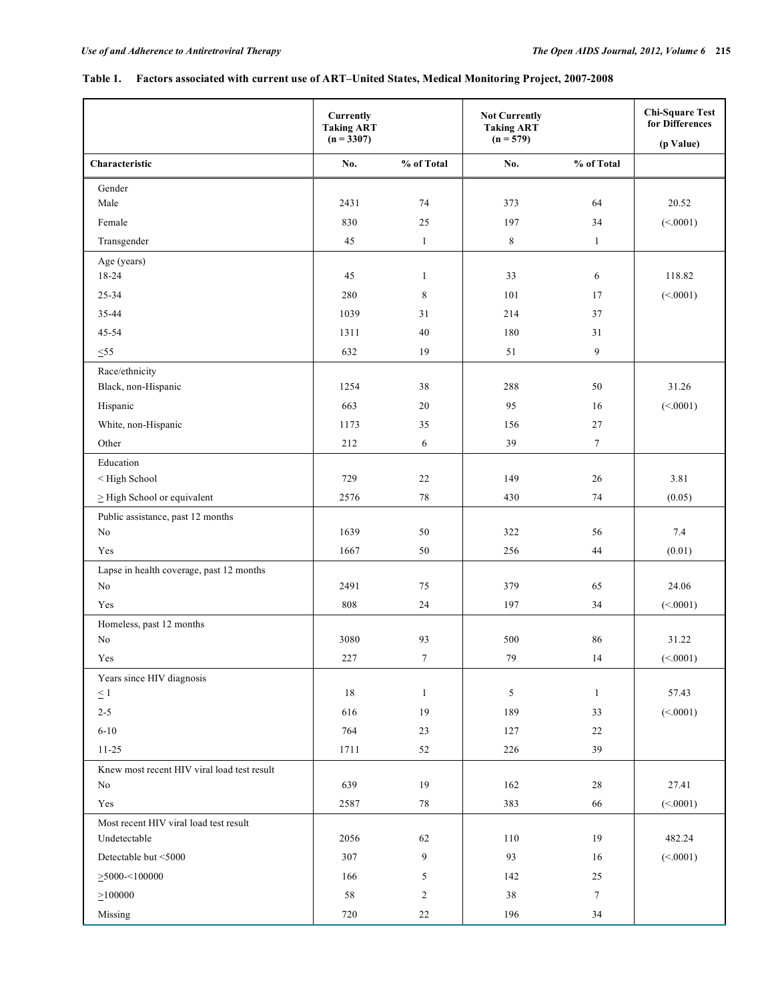## **Table 1. Factors associated with current use of ART–United States, Medical Monitoring Project, 2007-2008**

|                                                                                           | <b>Currently</b><br><b>Taking ART</b><br>$(n = 3307)$ |                | <b>Not Currently</b><br><b>Taking ART</b><br>$(n = 579)$ |              | <b>Chi-Square Test</b><br>for Differences<br>(p Value) |
|-------------------------------------------------------------------------------------------|-------------------------------------------------------|----------------|----------------------------------------------------------|--------------|--------------------------------------------------------|
| Characteristic                                                                            | No.                                                   | % of Total     | No.                                                      | % of Total   |                                                        |
| Gender                                                                                    |                                                       |                |                                                          |              |                                                        |
| Male                                                                                      | 2431                                                  | 74             | 373                                                      | 64           | 20.52                                                  |
| Female                                                                                    | 830                                                   | 25             | 197                                                      | 34           | (<.0001)                                               |
| Transgender                                                                               | 45                                                    | $\mathbf{1}$   | $\,8\,$                                                  | $\mathbf{1}$ |                                                        |
| Age (years)                                                                               |                                                       |                |                                                          |              |                                                        |
| 18-24                                                                                     | 45                                                    | $\mathbf{1}$   | 33                                                       | 6            | 118.82                                                 |
| 25-34                                                                                     | 280                                                   | 8              | 101                                                      | 17           | (<.0001)                                               |
| 35-44                                                                                     | 1039                                                  | 31             | 214                                                      | 37           |                                                        |
| 45-54                                                                                     | 1311                                                  | 40             | 180                                                      | 31           |                                                        |
| $\leq 55$                                                                                 | 632                                                   | 19             | 51                                                       | 9            |                                                        |
| Race/ethnicity                                                                            |                                                       |                |                                                          |              |                                                        |
| Black, non-Hispanic                                                                       | 1254                                                  | 38             | 288                                                      | 50           | 31.26                                                  |
| Hispanic                                                                                  | 663                                                   | 20             | 95                                                       | 16           | (<.0001)                                               |
| White, non-Hispanic                                                                       | 1173                                                  | 35             | 156                                                      | 27           |                                                        |
| Other                                                                                     | 212                                                   | 6              | 39                                                       | $\tau$       |                                                        |
| Education                                                                                 |                                                       |                |                                                          |              |                                                        |
| <high school<="" td=""><td>729</td><td>22</td><td>149</td><td>26</td><td>3.81</td></high> | 729                                                   | 22             | 149                                                      | 26           | 3.81                                                   |
| $\geq$ High School or equivalent                                                          | 2576                                                  | 78             | 430                                                      | 74           | (0.05)                                                 |
| Public assistance, past 12 months                                                         |                                                       |                |                                                          |              |                                                        |
| No                                                                                        | 1639                                                  | 50             | 322                                                      | 56           | 7.4                                                    |
| Yes                                                                                       | 1667                                                  | 50             | 256                                                      | 44           | (0.01)                                                 |
| Lapse in health coverage, past 12 months<br>$\rm No$                                      | 2491                                                  | 75             | 379                                                      | 65           | 24.06                                                  |
| Yes                                                                                       | 808                                                   | 24             | 197                                                      | 34           |                                                        |
|                                                                                           |                                                       |                |                                                          |              | (<.0001)                                               |
| Homeless, past 12 months<br>No                                                            | 3080                                                  | 93             | 500                                                      | 86           | 31.22                                                  |
| Yes                                                                                       | 227                                                   | $\overline{7}$ | 79                                                       | 14           | (<.0001)                                               |
| Years since HIV diagnosis                                                                 |                                                       |                |                                                          |              |                                                        |
| $\leq$ 1                                                                                  | 18                                                    | 1              | 5                                                        | 1            | 57.43                                                  |
| $2 - 5$                                                                                   | 616                                                   | 19             | 189                                                      | 33           | (<.0001)                                               |
| $6 - 10$                                                                                  | 764                                                   | $23\,$         | 127                                                      | 22           |                                                        |
| $11 - 25$                                                                                 | 1711                                                  | 52             | 226                                                      | 39           |                                                        |
| Knew most recent HIV viral load test result                                               |                                                       |                |                                                          |              |                                                        |
| No                                                                                        | 639                                                   | 19             | 162                                                      | 28           | 27.41                                                  |
| Yes                                                                                       | 2587                                                  | 78             | 383                                                      | 66           | (<.0001)                                               |
| Most recent HIV viral load test result                                                    |                                                       |                |                                                          |              |                                                        |
| Undetectable                                                                              | 2056                                                  | 62             | 110                                                      | 19           | 482.24                                                 |
| Detectable but <5000                                                                      | 307                                                   | 9              | 93                                                       | 16           | (<.0001)                                               |
| $\geq$ 5000-<100000                                                                       | 166                                                   | 5              | 142                                                      | $25\,$       |                                                        |
| $\geq 100000$                                                                             | 58                                                    | $\sqrt{2}$     | 38                                                       | $\tau$       |                                                        |
| Missing                                                                                   | 720                                                   | 22             | 196                                                      | $34\,$       |                                                        |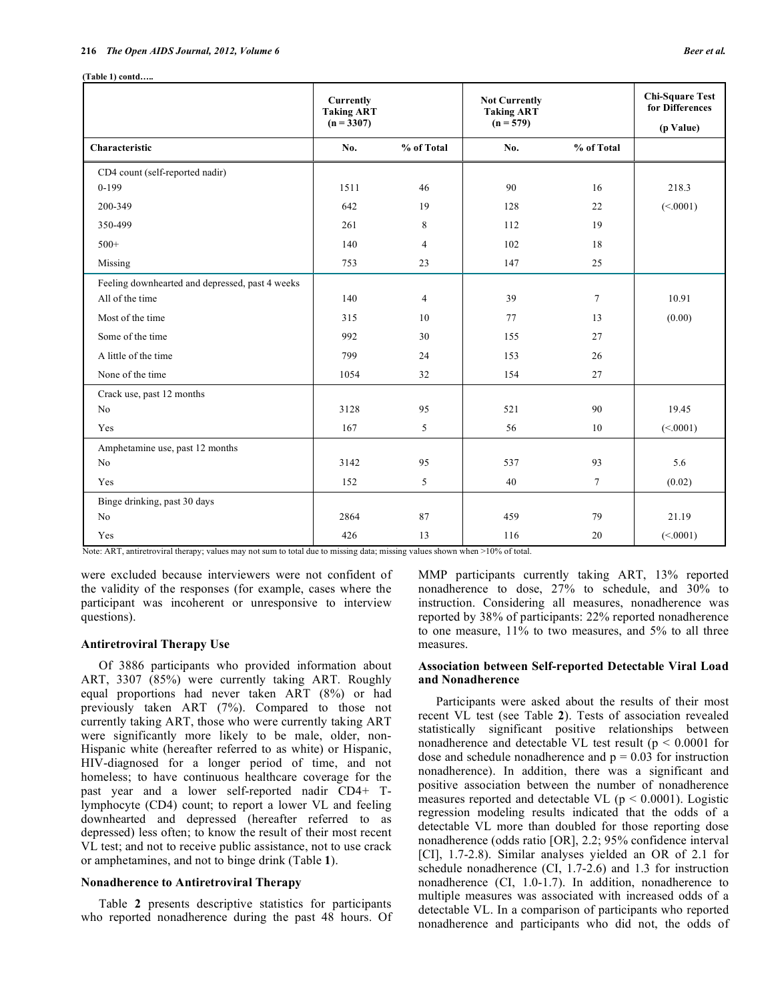| (Table 1) contd |
|-----------------|
|                 |

|                                                 | Currently<br><b>Taking ART</b><br>$(n = 3307)$ |                | <b>Not Currently</b><br><b>Taking ART</b><br>$(n = 579)$ |            | <b>Chi-Square Test</b><br>for Differences<br>(p Value) |
|-------------------------------------------------|------------------------------------------------|----------------|----------------------------------------------------------|------------|--------------------------------------------------------|
| Characteristic                                  | No.                                            | % of Total     | No.                                                      | % of Total |                                                        |
| CD4 count (self-reported nadir)                 |                                                |                |                                                          |            |                                                        |
| $0-199$                                         | 1511                                           | 46             | 90                                                       | 16         | 218.3                                                  |
| 200-349                                         | 642                                            | 19             | 128                                                      | 22         | (<.0001)                                               |
| 350-499                                         | 261                                            | 8              | 112                                                      | 19         |                                                        |
| $500+$                                          | 140                                            | $\overline{4}$ | 102                                                      | 18         |                                                        |
| Missing                                         | 753                                            | 23             | 147                                                      | 25         |                                                        |
| Feeling downhearted and depressed, past 4 weeks |                                                |                |                                                          |            |                                                        |
| All of the time                                 | 140                                            | $\overline{4}$ | 39                                                       | $\tau$     | 10.91                                                  |
| Most of the time                                | 315                                            | 10             | 77                                                       | 13         | (0.00)                                                 |
| Some of the time                                | 992                                            | 30             | 155                                                      | 27         |                                                        |
| A little of the time                            | 799                                            | 24             | 153                                                      | 26         |                                                        |
| None of the time                                | 1054                                           | 32             | 154                                                      | 27         |                                                        |
| Crack use, past 12 months                       |                                                |                |                                                          |            |                                                        |
| No                                              | 3128                                           | 95             | 521                                                      | 90         | 19.45                                                  |
| Yes                                             | 167                                            | 5              | 56                                                       | 10         | (<.0001)                                               |
| Amphetamine use, past 12 months                 |                                                |                |                                                          |            |                                                        |
| No                                              | 3142                                           | 95             | 537                                                      | 93         | 5.6                                                    |
| Yes                                             | 152                                            | 5              | 40                                                       | $\tau$     | (0.02)                                                 |
| Binge drinking, past 30 days                    |                                                |                |                                                          |            |                                                        |
| No                                              | 2864                                           | 87             | 459                                                      | 79         | 21.19                                                  |
| Yes                                             | 426                                            | 13             | 116                                                      | 20         | (<.0001)                                               |

Note: ART, antiretroviral therapy; values may not sum to total due to missing data; missing values shown when >10% of total.

were excluded because interviewers were not confident of the validity of the responses (for example, cases where the participant was incoherent or unresponsive to interview questions).

#### **Antiretroviral Therapy Use**

 Of 3886 participants who provided information about ART, 3307 (85%) were currently taking ART. Roughly equal proportions had never taken ART (8%) or had previously taken ART (7%). Compared to those not currently taking ART, those who were currently taking ART were significantly more likely to be male, older, non-Hispanic white (hereafter referred to as white) or Hispanic, HIV-diagnosed for a longer period of time, and not homeless; to have continuous healthcare coverage for the past year and a lower self-reported nadir CD4+ Tlymphocyte (CD4) count; to report a lower VL and feeling downhearted and depressed (hereafter referred to as depressed) less often; to know the result of their most recent VL test; and not to receive public assistance, not to use crack or amphetamines, and not to binge drink (Table **1**).

#### **Nonadherence to Antiretroviral Therapy**

 Table **2** presents descriptive statistics for participants who reported nonadherence during the past 48 hours. Of MMP participants currently taking ART, 13% reported nonadherence to dose, 27% to schedule, and 30% to instruction. Considering all measures, nonadherence was reported by 38% of participants: 22% reported nonadherence to one measure, 11% to two measures, and 5% to all three measures.

## **Association between Self-reported Detectable Viral Load and Nonadherence**

 Participants were asked about the results of their most recent VL test (see Table **2**). Tests of association revealed statistically significant positive relationships between nonadherence and detectable VL test result ( $p < 0.0001$  for dose and schedule nonadherence and  $p = 0.03$  for instruction nonadherence). In addition, there was a significant and positive association between the number of nonadherence measures reported and detectable VL ( $p < 0.0001$ ). Logistic regression modeling results indicated that the odds of a detectable VL more than doubled for those reporting dose nonadherence (odds ratio [OR], 2.2; 95% confidence interval [CI], 1.7-2.8). Similar analyses yielded an OR of 2.1 for schedule nonadherence (CI, 1.7-2.6) and 1.3 for instruction nonadherence (CI, 1.0-1.7). In addition, nonadherence to multiple measures was associated with increased odds of a detectable VL. In a comparison of participants who reported nonadherence and participants who did not, the odds of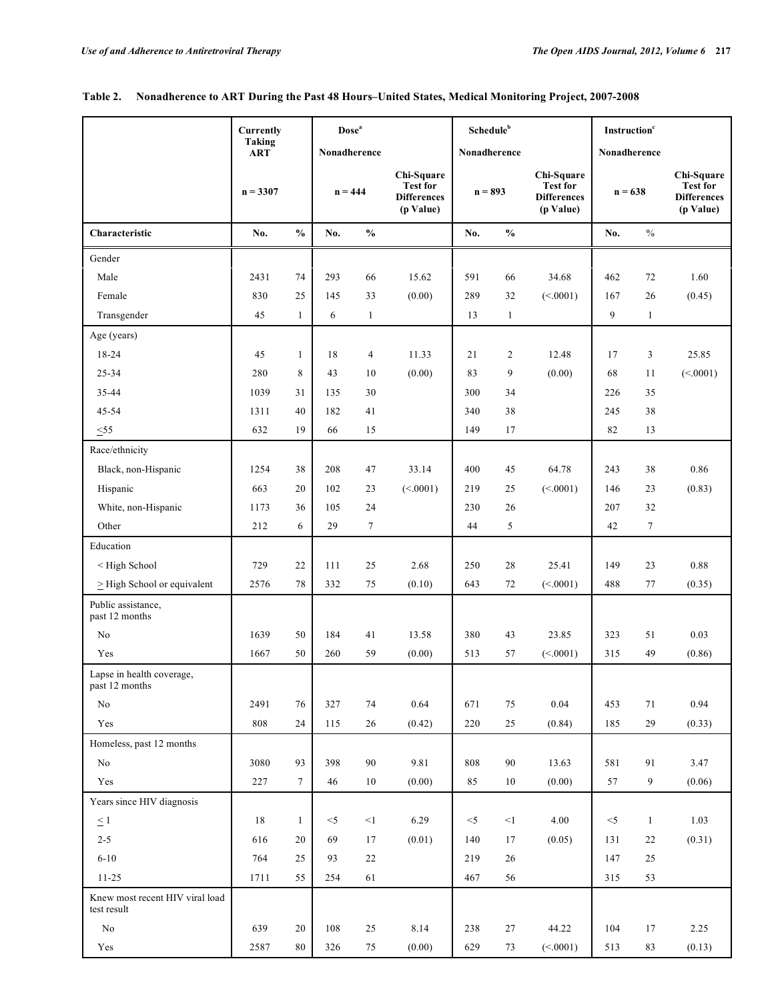|                                                                                                                                                                    | <b>Currently</b> |                 | Dose <sup>a</sup> |               |                                                                  | Schedule <sup>b</sup> |               |                                                                  | <b>Instruction</b> <sup>c</sup> |               |                                                                  |
|--------------------------------------------------------------------------------------------------------------------------------------------------------------------|------------------|-----------------|-------------------|---------------|------------------------------------------------------------------|-----------------------|---------------|------------------------------------------------------------------|---------------------------------|---------------|------------------------------------------------------------------|
|                                                                                                                                                                    | Taking<br>ART    |                 |                   | Nonadherence  |                                                                  | Nonadherence          |               |                                                                  | Nonadherence                    |               |                                                                  |
|                                                                                                                                                                    | $n = 3307$       |                 |                   | $n = 444$     | Chi-Square<br><b>Test for</b><br><b>Differences</b><br>(p Value) | $n = 893$             |               | Chi-Square<br><b>Test for</b><br><b>Differences</b><br>(p Value) | $n = 638$                       |               | Chi-Square<br><b>Test for</b><br><b>Differences</b><br>(p Value) |
| Characteristic                                                                                                                                                     | No.              | $\frac{0}{0}$   | No.               | $\frac{0}{0}$ |                                                                  | No.                   | $\frac{0}{0}$ |                                                                  | No.                             | $\frac{0}{0}$ |                                                                  |
| Gender                                                                                                                                                             |                  |                 |                   |               |                                                                  |                       |               |                                                                  |                                 |               |                                                                  |
| Male                                                                                                                                                               | 2431             | 74              | 293               | 66            | 15.62                                                            | 591                   | 66            | 34.68                                                            | 462                             | 72            | 1.60                                                             |
| Female                                                                                                                                                             | 830              | 25              | 145               | 33            | (0.00)                                                           | 289                   | 32            | (<.0001)                                                         | 167                             | 26            | (0.45)                                                           |
| Transgender                                                                                                                                                        | 45               | $\mathbf{1}$    | 6                 | $\mathbf{1}$  |                                                                  | 13                    | $\mathbf{1}$  |                                                                  | 9                               | $\mathbf{1}$  |                                                                  |
| Age (years)                                                                                                                                                        |                  |                 |                   |               |                                                                  |                       |               |                                                                  |                                 |               |                                                                  |
| 18-24                                                                                                                                                              | 45               | $\mathbf{1}$    | 18                | 4             | 11.33                                                            | 21                    | 2             | 12.48                                                            | 17                              | 3             | 25.85                                                            |
| 25-34                                                                                                                                                              | 280              | 8               | 43                | 10            | (0.00)                                                           | 83                    | 9             | (0.00)                                                           | 68                              | 11            | (<.0001)                                                         |
| 35-44                                                                                                                                                              | 1039             | 31              | 135               | 30            |                                                                  | 300                   | 34            |                                                                  | 226                             | 35            |                                                                  |
| 45-54                                                                                                                                                              | 1311             | 40              | 182               | 41            |                                                                  | 340                   | 38            |                                                                  | 245                             | 38            |                                                                  |
| $\leq 55$                                                                                                                                                          | 632              | 19              | 66                | 15            |                                                                  | 149                   | 17            |                                                                  | 82                              | 13            |                                                                  |
| Race/ethnicity                                                                                                                                                     |                  |                 |                   |               |                                                                  |                       |               |                                                                  |                                 |               |                                                                  |
| Black, non-Hispanic                                                                                                                                                | 1254             | 38              | 208               | 47            | 33.14                                                            | 400                   | 45            | 64.78                                                            | 243                             | 38            | 0.86                                                             |
| Hispanic                                                                                                                                                           | 663              | 20              | 102               | 23            | (<.0001)                                                         | 219                   | 25            | (<.0001)                                                         | 146                             | 23            | (0.83)                                                           |
| White, non-Hispanic                                                                                                                                                | 1173             | 36              | 105               | 24            |                                                                  | 230                   | 26            |                                                                  | 207                             | 32            |                                                                  |
| Other                                                                                                                                                              | 212              | 6               | 29                | $\tau$        |                                                                  | 44                    | 5             |                                                                  | 42                              | $\tau$        |                                                                  |
| Education                                                                                                                                                          |                  |                 |                   |               |                                                                  |                       |               |                                                                  |                                 |               |                                                                  |
| <high school<="" td=""><td>729</td><td>22</td><td>111</td><td>25</td><td>2.68</td><td>250</td><td>28</td><td>25.41</td><td>149</td><td>23</td><td>0.88</td></high> | 729              | 22              | 111               | 25            | 2.68                                                             | 250                   | 28            | 25.41                                                            | 149                             | 23            | 0.88                                                             |
| $\geq$ High School or equivalent                                                                                                                                   | 2576             | 78              | 332               | 75            | (0.10)                                                           | 643                   | 72            | (<.0001)                                                         | 488                             | 77            | (0.35)                                                           |
| Public assistance,<br>past 12 months                                                                                                                               |                  |                 |                   |               |                                                                  |                       |               |                                                                  |                                 |               |                                                                  |
| No                                                                                                                                                                 | 1639             | 50              | 184               | 41            | 13.58                                                            | 380                   | 43            | 23.85                                                            | 323                             | 51            | 0.03                                                             |
| Yes                                                                                                                                                                | 1667             | 50              | 260               | 59            | (0.00)                                                           | 513                   | 57            | (<.0001)                                                         | 315                             | 49            | (0.86)                                                           |
| Lapse in health coverage,<br>past 12 months                                                                                                                        |                  |                 |                   |               |                                                                  |                       |               |                                                                  |                                 |               |                                                                  |
| No                                                                                                                                                                 | 2491             | 76              | 327               | 74            | 0.64                                                             | 671                   | 75            | 0.04                                                             | 453                             | 71            | 0.94                                                             |
| Yes                                                                                                                                                                | 808              | 24              | 115               | 26            | (0.42)                                                           | 220                   | 25            | (0.84)                                                           | 185                             | 29            | (0.33)                                                           |
| Homeless, past 12 months                                                                                                                                           |                  |                 |                   |               |                                                                  |                       |               |                                                                  |                                 |               |                                                                  |
| No                                                                                                                                                                 | 3080             | 93              | 398               | 90            | 9.81                                                             | 808                   | 90            | 13.63                                                            | 581                             | 91            | 3.47                                                             |
| Yes                                                                                                                                                                | 227              | $7\overline{ }$ | 46                | $10\,$        | (0.00)                                                           | 85                    | $10\,$        | (0.00)                                                           | 57                              | 9             | (0.06)                                                           |
| Years since HIV diagnosis                                                                                                                                          |                  |                 |                   |               |                                                                  |                       |               |                                                                  |                                 |               |                                                                  |
| $\leq$ 1                                                                                                                                                           | 18               | $\mathbf{1}$    | $<$ 5             | <1            | 6.29                                                             | $<$ 5                 | $<1\,$        | 4.00                                                             | $<$ 5                           | $\mathbf{1}$  | 1.03                                                             |
| $2 - 5$                                                                                                                                                            | 616              | 20              | 69                | 17            | (0.01)                                                           | 140                   | 17            | (0.05)                                                           | 131                             | 22            | (0.31)                                                           |
| $6 - 10$                                                                                                                                                           | 764              | 25              | 93                | 22            |                                                                  | 219                   | 26            |                                                                  | 147                             | 25            |                                                                  |
| $11 - 25$                                                                                                                                                          | 1711             | 55              | 254               | 61            |                                                                  | 467                   | 56            |                                                                  | 315                             | 53            |                                                                  |
| Knew most recent HIV viral load<br>test result                                                                                                                     |                  |                 |                   |               |                                                                  |                       |               |                                                                  |                                 |               |                                                                  |
| $\rm No$                                                                                                                                                           | 639              | 20              | 108               | $25\,$        | 8.14                                                             | 238                   | 27            | 44.22                                                            | 104                             | 17            | 2.25                                                             |
| $\operatorname{Yes}$                                                                                                                                               | 2587             | 80              | 326               | $75\,$        | (0.00)                                                           | 629                   | 73            | (<.0001)                                                         | 513                             | 83            | (0.13)                                                           |

## **Table 2. Nonadherence to ART During the Past 48 Hours–United States, Medical Monitoring Project, 2007-2008**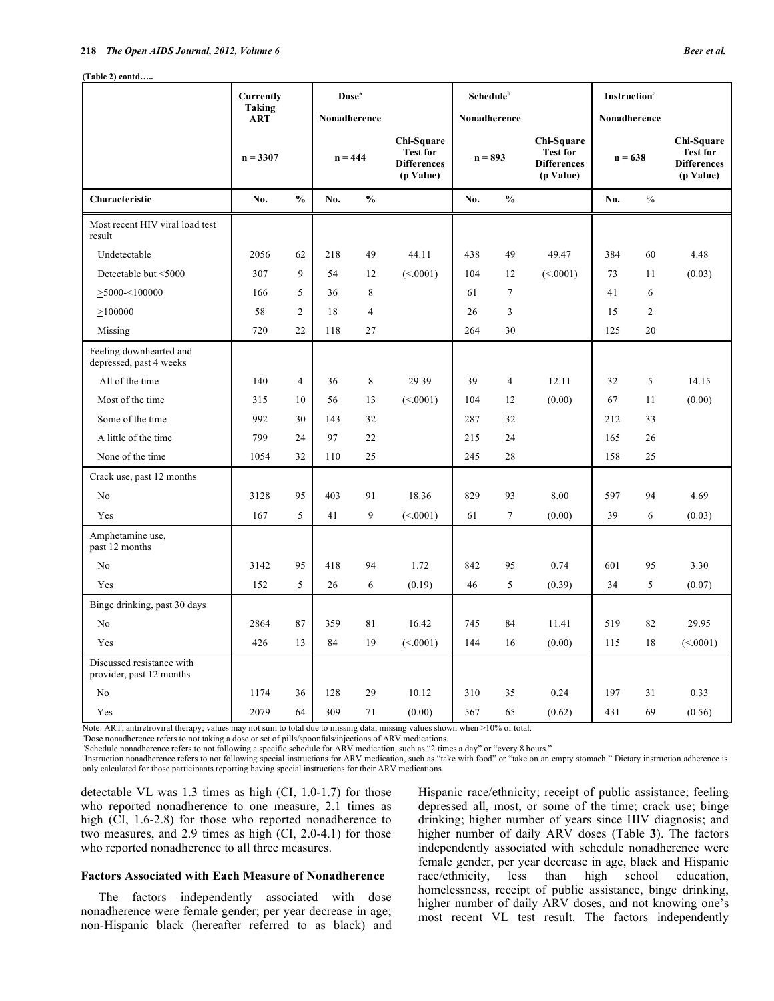**(Table 2) contd…..** 

| Beer et al. |  |  |
|-------------|--|--|
|-------------|--|--|

|                                                       | <b>Currently</b>     |                |     | Dose <sup>a</sup> |                                                                  | Schedule <sup>b</sup> |                |                                                                  | Instruction <sup>c</sup> |                |                                                                  |
|-------------------------------------------------------|----------------------|----------------|-----|-------------------|------------------------------------------------------------------|-----------------------|----------------|------------------------------------------------------------------|--------------------------|----------------|------------------------------------------------------------------|
|                                                       | Taking<br><b>ART</b> |                |     | Nonadherence      |                                                                  | Nonadherence          |                |                                                                  | Nonadherence             |                |                                                                  |
|                                                       | $n = 3307$           |                |     | $n = 444$         | Chi-Square<br><b>Test for</b><br><b>Differences</b><br>(p Value) | $n = 893$             |                | Chi-Square<br><b>Test for</b><br><b>Differences</b><br>(p Value) | $n = 638$                |                | Chi-Square<br><b>Test for</b><br><b>Differences</b><br>(p Value) |
| Characteristic                                        | No.                  | $\frac{0}{0}$  | No. | $\frac{0}{0}$     |                                                                  | No.                   | $\frac{0}{0}$  |                                                                  | No.                      | $\frac{0}{0}$  |                                                                  |
| Most recent HIV viral load test<br>result             |                      |                |     |                   |                                                                  |                       |                |                                                                  |                          |                |                                                                  |
| Undetectable                                          | 2056                 | 62             | 218 | 49                | 44.11                                                            | 438                   | 49             | 49.47                                                            | 384                      | 60             | 4.48                                                             |
| Detectable but <5000                                  | 307                  | 9              | 54  | 12                | (<.0001)                                                         | 104                   | 12             | (<.0001)                                                         | 73                       | 11             | (0.03)                                                           |
| $\geq$ 5000-<100000                                   | 166                  | 5              | 36  | 8                 |                                                                  | 61                    | $\overline{7}$ |                                                                  | 41                       | 6              |                                                                  |
| >100000                                               | 58                   | $\overline{c}$ | 18  | $\overline{4}$    |                                                                  | 26                    | 3              |                                                                  | 15                       | $\overline{2}$ |                                                                  |
| Missing                                               | 720                  | 22             | 118 | 27                |                                                                  | 264                   | 30             |                                                                  | 125                      | 20             |                                                                  |
| Feeling downhearted and<br>depressed, past 4 weeks    |                      |                |     |                   |                                                                  |                       |                |                                                                  |                          |                |                                                                  |
| All of the time                                       | 140                  | $\overline{4}$ | 36  | $\,$ 8 $\,$       | 29.39                                                            | 39                    | $\overline{4}$ | 12.11                                                            | 32                       | $\sqrt{5}$     | 14.15                                                            |
| Most of the time                                      | 315                  | 10             | 56  | 13                | (<.0001)                                                         | 104                   | 12             | (0.00)                                                           | 67                       | 11             | (0.00)                                                           |
| Some of the time                                      | 992                  | 30             | 143 | 32                |                                                                  | 287                   | 32             |                                                                  | 212                      | 33             |                                                                  |
| A little of the time                                  | 799                  | 24             | 97  | 22                |                                                                  | 215                   | 24             |                                                                  | 165                      | 26             |                                                                  |
| None of the time                                      | 1054                 | 32             | 110 | 25                |                                                                  | 245                   | 28             |                                                                  | 158                      | 25             |                                                                  |
| Crack use, past 12 months                             |                      |                |     |                   |                                                                  |                       |                |                                                                  |                          |                |                                                                  |
| No                                                    | 3128                 | 95             | 403 | 91                | 18.36                                                            | 829                   | 93             | 8.00                                                             | 597                      | 94             | 4.69                                                             |
| Yes                                                   | 167                  | 5              | 41  | 9                 | (<.0001)                                                         | 61                    | $\tau$         | (0.00)                                                           | 39                       | 6              | (0.03)                                                           |
| Amphetamine use,<br>past 12 months                    |                      |                |     |                   |                                                                  |                       |                |                                                                  |                          |                |                                                                  |
| No                                                    | 3142                 | 95             | 418 | 94                | 1.72                                                             | 842                   | 95             | 0.74                                                             | 601                      | 95             | 3.30                                                             |
| Yes                                                   | 152                  | 5              | 26  | 6                 | (0.19)                                                           | 46                    | 5              | (0.39)                                                           | 34                       | 5              | (0.07)                                                           |
| Binge drinking, past 30 days                          |                      |                |     |                   |                                                                  |                       |                |                                                                  |                          |                |                                                                  |
| No                                                    | 2864                 | 87             | 359 | 81                | 16.42                                                            | 745                   | 84             | 11.41                                                            | 519                      | 82             | 29.95                                                            |
| Yes                                                   | 426                  | 13             | 84  | 19                | (<.0001)                                                         | 144                   | 16             | (0.00)                                                           | 115                      | 18             | (<.0001)                                                         |
| Discussed resistance with<br>provider, past 12 months |                      |                |     |                   |                                                                  |                       |                |                                                                  |                          |                |                                                                  |
| No                                                    | 1174                 | 36             | 128 | 29                | 10.12                                                            | 310                   | 35             | 0.24                                                             | 197                      | 31             | 0.33                                                             |
| Yes                                                   | 2079                 | 64             | 309 | 71                | (0.00)                                                           | 567                   | 65             | (0.62)                                                           | 431                      | 69             | (0.56)                                                           |

Note: ART, antiretroviral therapy; values may not sum to total due to missing data; missing values shown when >10% of total.

<sup>a</sup> Dose nonadherence refers to not taking a dose or set of pills/spoonfuls/injections of ARV medications.

Schedule nonadherence refers to not following a specific schedule for ARV medication, such as "2 times a day" or "every 8 hours."

<sup>c</sup>Instruction nonadherence refers to not following special instructions for ARV medication, such as "take with food" or "take on an empty stomach." Dietary instruction adherence is only calculated for those participants reporting having special instructions for their ARV medications.

detectable VL was 1.3 times as high (CI, 1.0-1.7) for those who reported nonadherence to one measure, 2.1 times as high (CI, 1.6-2.8) for those who reported nonadherence to two measures, and 2.9 times as high (CI, 2.0-4.1) for those who reported nonadherence to all three measures.

## **Factors Associated with Each Measure of Nonadherence**

 The factors independently associated with dose nonadherence were female gender; per year decrease in age; non-Hispanic black (hereafter referred to as black) and Hispanic race/ethnicity; receipt of public assistance; feeling depressed all, most, or some of the time; crack use; binge drinking; higher number of years since HIV diagnosis; and higher number of daily ARV doses (Table **3**). The factors independently associated with schedule nonadherence were female gender, per year decrease in age, black and Hispanic race/ethnicity, less than high school education, homelessness, receipt of public assistance, binge drinking, higher number of daily ARV doses, and not knowing one's most recent VL test result. The factors independently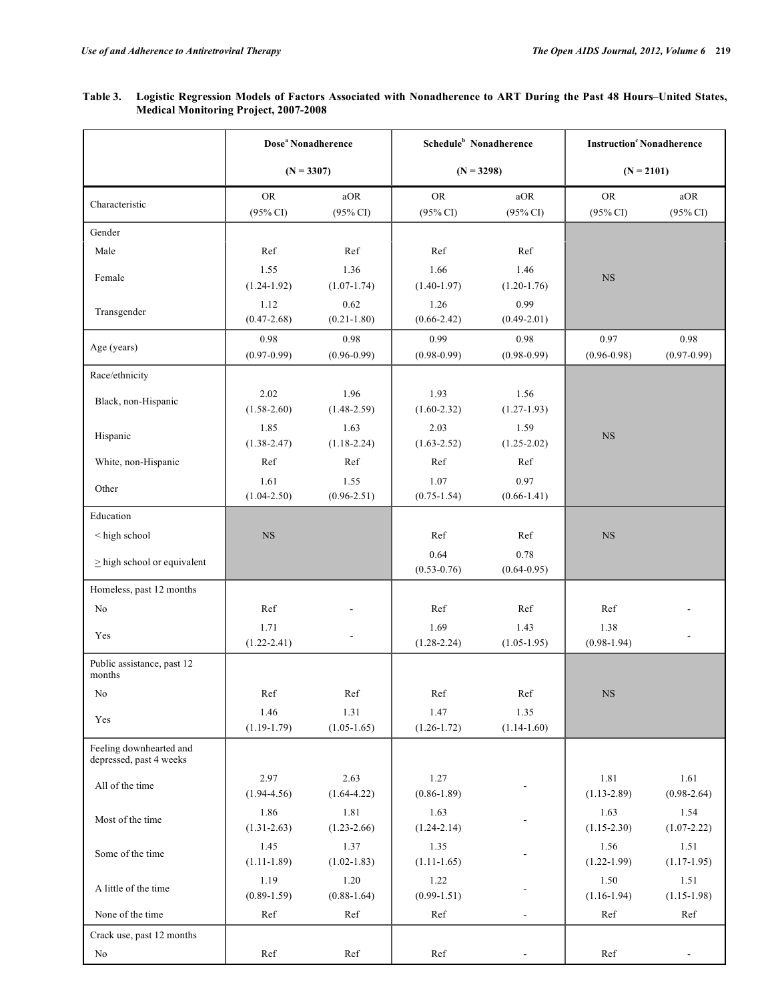## **Table 3. Logistic Regression Models of Factors Associated with Nonadherence to ART During the Past 48 Hours–United States, Medical Monitoring Project, 2007-2008**

|                                                    | Dose <sup>a</sup> Nonadherence   |                            | Schedule <sup>b</sup> Nonadherence |                            | <b>Instruction</b> <sup>c</sup> Nonadherence |                            |  |
|----------------------------------------------------|----------------------------------|----------------------------|------------------------------------|----------------------------|----------------------------------------------|----------------------------|--|
|                                                    | $(N = 3307)$                     |                            | $(N = 3298)$                       |                            | $(N = 2101)$                                 |                            |  |
| Characteristic                                     | <b>OR</b><br>$(95\% \text{ CI})$ | aOR<br>$(95\% \text{ CI})$ | <b>OR</b><br>$(95\% \text{ CI})$   | aOR<br>$(95\% \text{ CI})$ | <b>OR</b><br>$(95\% \text{ CI})$             | aOR<br>$(95\% \text{ CI})$ |  |
| Gender                                             |                                  |                            |                                    |                            |                                              |                            |  |
| Male                                               | Ref                              | Ref                        | Ref                                | Ref                        |                                              |                            |  |
| Female                                             | 1.55<br>$(1.24-1.92)$            | 1.36<br>$(1.07-1.74)$      | 1.66<br>$(1.40-1.97)$              | 1.46<br>$(1.20-1.76)$      | $_{\rm NS}$                                  |                            |  |
| Transgender                                        | 1.12<br>$(0.47 - 2.68)$          | 0.62<br>$(0.21 - 1.80)$    | 1.26<br>$(0.66 - 2.42)$            | 0.99<br>$(0.49 - 2.01)$    |                                              |                            |  |
| Age (years)                                        | 0.98<br>$(0.97 - 0.99)$          | 0.98<br>$(0.96 - 0.99)$    | 0.99<br>$(0.98 - 0.99)$            | 0.98<br>$(0.98 - 0.99)$    | 0.97<br>$(0.96 - 0.98)$                      | 0.98<br>$(0.97 - 0.99)$    |  |
| Race/ethnicity                                     |                                  |                            |                                    |                            |                                              |                            |  |
| Black, non-Hispanic                                | 2.02<br>$(1.58 - 2.60)$          | 1.96<br>$(1.48 - 2.59)$    | 1.93<br>$(1.60 - 2.32)$            | 1.56<br>$(1.27-1.93)$      |                                              |                            |  |
| Hispanic                                           | 1.85<br>$(1.38 - 2.47)$          | 1.63<br>$(1.18 - 2.24)$    | 2.03<br>$(1.63 - 2.52)$            | 1.59<br>$(1.25 - 2.02)$    | $_{\rm NS}$                                  |                            |  |
| White, non-Hispanic                                | Ref                              | Ref                        | Ref                                | Ref                        |                                              |                            |  |
| Other                                              | 1.61<br>$(1.04 - 2.50)$          | 1.55<br>$(0.96 - 2.51)$    | 1.07<br>$(0.75 - 1.54)$            | 0.97<br>$(0.66 - 1.41)$    |                                              |                            |  |
| Education                                          |                                  |                            |                                    |                            |                                              |                            |  |
| < high school                                      | $_{\rm NS}$                      |                            | Ref                                | Ref                        | $_{\rm NS}$                                  |                            |  |
| $\geq$ high school or equivalent                   |                                  |                            | 0.64<br>$(0.53 - 0.76)$            | 0.78<br>$(0.64 - 0.95)$    |                                              |                            |  |
| Homeless, past 12 months                           |                                  |                            |                                    |                            |                                              |                            |  |
| No                                                 | Ref                              |                            | Ref                                | Ref                        | Ref                                          |                            |  |
| Yes                                                | 1.71<br>$(1.22 - 2.41)$          |                            | 1.69<br>$(1.28 - 2.24)$            | 1.43<br>$(1.05-1.95)$      | 1.38<br>$(0.98-1.94)$                        | $\overline{a}$             |  |
| Public assistance, past 12<br>months               |                                  |                            |                                    |                            |                                              |                            |  |
| No                                                 | Ref                              | Ref                        | Ref                                | Ref                        | $_{\rm NS}$                                  |                            |  |
| Yes                                                | 1.46<br>$(1.19-1.79)$            | 1.31<br>$(1.05-1.65)$      | 1.47<br>$(1.26 - 1.72)$            | 1.35<br>$(1.14-1.60)$      |                                              |                            |  |
| Feeling downhearted and<br>depressed, past 4 weeks |                                  |                            |                                    |                            |                                              |                            |  |
| All of the time                                    | 2.97<br>$(1.94 - 4.56)$          | 2.63<br>$(1.64 - 4.22)$    | 1.27<br>$(0.86 - 1.89)$            |                            | 1.81<br>$(1.13 - 2.89)$                      | 1.61<br>$(0.98 - 2.64)$    |  |
| Most of the time                                   | 1.86<br>$(1.31 - 2.63)$          | 1.81<br>$(1.23 - 2.66)$    | 1.63<br>$(1.24 - 2.14)$            |                            | 1.63<br>$(1.15 - 2.30)$                      | 1.54<br>$(1.07 - 2.22)$    |  |
| Some of the time                                   | 1.45<br>$(1.11-1.89)$            | 1.37<br>$(1.02 - 1.83)$    | 1.35<br>$(1.11-1.65)$              |                            | 1.56<br>$(1.22 - 1.99)$                      | 1.51<br>$(1.17-1.95)$      |  |
| A little of the time                               | 1.19<br>$(0.89 - 1.59)$          | $1.20\,$<br>$(0.88-1.64)$  | 1.22<br>$(0.99 - 1.51)$            |                            | 1.50<br>$(1.16-1.94)$                        | 1.51<br>$(1.15-1.98)$      |  |
| None of the time                                   | Ref                              | Ref                        | Ref                                | ÷,                         | Ref                                          | Ref                        |  |
| Crack use, past 12 months                          |                                  |                            |                                    |                            |                                              |                            |  |
| No                                                 | Ref                              | Ref                        | Ref                                |                            | Ref                                          | $\overline{\phantom{a}}$   |  |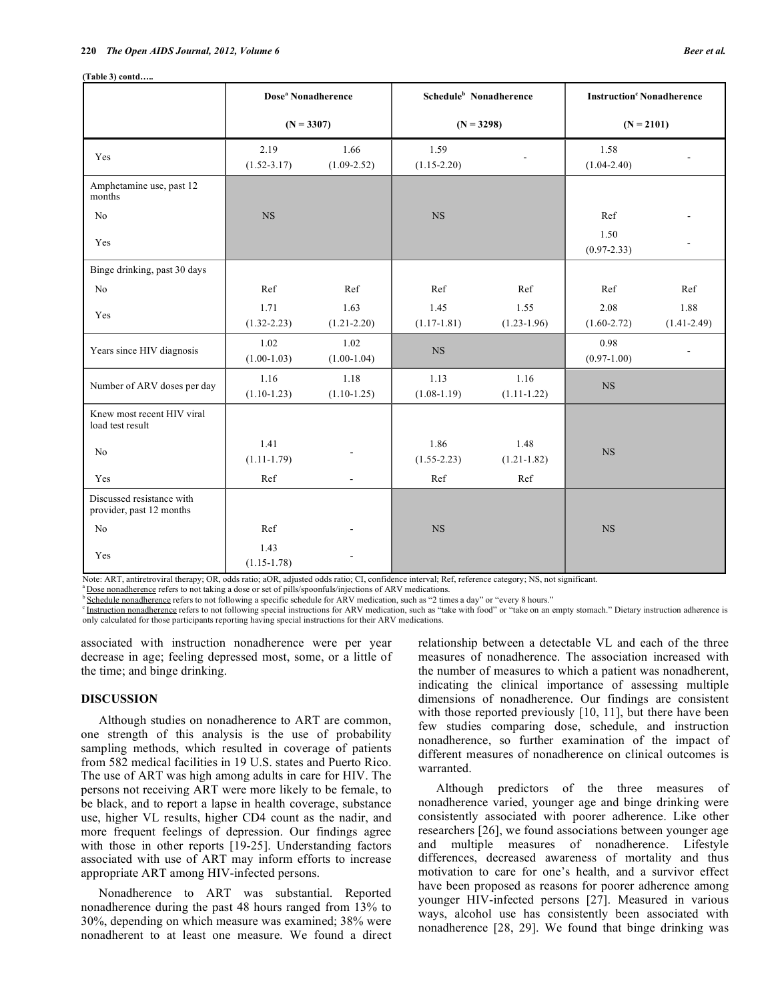**(Table 3) contd…..** 

|                                                       | Dose <sup>a</sup> Nonadherence |                          | Schedule <sup>b</sup> Nonadherence |                         | <b>Instruction</b> <sup>c</sup> Nonadherence |                         |  |
|-------------------------------------------------------|--------------------------------|--------------------------|------------------------------------|-------------------------|----------------------------------------------|-------------------------|--|
|                                                       | $(N = 3307)$                   |                          | $(N = 3298)$                       |                         | $(N = 2101)$                                 |                         |  |
| Yes                                                   | 2.19<br>$(1.52 - 3.17)$        | 1.66<br>$(1.09 - 2.52)$  | 1.59<br>$(1.15 - 2.20)$            |                         |                                              |                         |  |
| Amphetamine use, past 12<br>months                    |                                |                          |                                    |                         |                                              |                         |  |
| No                                                    | $_{\rm NS}$                    |                          | <b>NS</b>                          |                         | Ref                                          |                         |  |
| Yes                                                   |                                |                          |                                    |                         | 1.50<br>$(0.97 - 2.33)$                      | $\blacksquare$          |  |
| Binge drinking, past 30 days                          |                                |                          |                                    |                         |                                              |                         |  |
| No                                                    | Ref                            | Ref                      | Ref                                | Ref                     | Ref                                          | Ref                     |  |
| Yes                                                   | 1.71<br>$(1.32 - 2.23)$        | 1.63<br>$(1.21 - 2.20)$  | 1.45<br>$(1.17-1.81)$              | 1.55<br>$(1.23 - 1.96)$ | 2.08<br>$(1.60 - 2.72)$                      | 1.88<br>$(1.41 - 2.49)$ |  |
| Years since HIV diagnosis                             | 1.02<br>$(1.00-1.03)$          | 1.02<br>$(1.00-1.04)$    | $_{\rm NS}$                        |                         | 0.98<br>$(0.97-1.00)$                        | $\blacksquare$          |  |
| Number of ARV doses per day                           | 1.16<br>$(1.10-1.23)$          | 1.18<br>$(1.10-1.25)$    | 1.13<br>$(1.08-1.19)$              | 1.16<br>$(1.11-1.22)$   | $_{\rm NS}$                                  |                         |  |
| Knew most recent HIV viral<br>load test result        |                                |                          |                                    |                         |                                              |                         |  |
| No                                                    | 1.41<br>$(1.11-1.79)$          |                          | 1.86<br>$(1.55 - 2.23)$            | 1.48<br>$(1.21 - 1.82)$ | <b>NS</b>                                    |                         |  |
| Yes                                                   | Ref                            | $\overline{a}$           | Ref                                | Ref                     |                                              |                         |  |
| Discussed resistance with<br>provider, past 12 months |                                |                          |                                    |                         |                                              |                         |  |
| No                                                    | Ref                            |                          | <b>NS</b>                          |                         | <b>NS</b>                                    |                         |  |
| Yes                                                   | 1.43<br>$(1.15 - 1.78)$        | $\overline{\phantom{a}}$ |                                    |                         |                                              |                         |  |

Note: ART, antiretroviral therapy; OR, odds ratio; aOR, adjusted odds ratio; CI, confidence interval; Ref, reference category; NS, not significant.<br><sup>a</sup> <u>Dose nonadherence</u> refers to not taking a dose or set of pills/spoonf only calculated for those participants reporting having special instructions for their ARV medications.

associated with instruction nonadherence were per year decrease in age; feeling depressed most, some, or a little of the time; and binge drinking.

### **DISCUSSION**

 Although studies on nonadherence to ART are common, one strength of this analysis is the use of probability sampling methods, which resulted in coverage of patients from 582 medical facilities in 19 U.S. states and Puerto Rico. The use of ART was high among adults in care for HIV. The persons not receiving ART were more likely to be female, to be black, and to report a lapse in health coverage, substance use, higher VL results, higher CD4 count as the nadir, and more frequent feelings of depression. Our findings agree with those in other reports [19-25]. Understanding factors associated with use of ART may inform efforts to increase appropriate ART among HIV-infected persons.

 Nonadherence to ART was substantial. Reported nonadherence during the past 48 hours ranged from 13% to 30%, depending on which measure was examined; 38% were nonadherent to at least one measure. We found a direct relationship between a detectable VL and each of the three measures of nonadherence. The association increased with the number of measures to which a patient was nonadherent, indicating the clinical importance of assessing multiple dimensions of nonadherence. Our findings are consistent with those reported previously [10, 11], but there have been few studies comparing dose, schedule, and instruction nonadherence, so further examination of the impact of different measures of nonadherence on clinical outcomes is warranted.

 Although predictors of the three measures of nonadherence varied, younger age and binge drinking were consistently associated with poorer adherence. Like other researchers [26], we found associations between younger age and multiple measures of nonadherence. Lifestyle differences, decreased awareness of mortality and thus motivation to care for one's health, and a survivor effect have been proposed as reasons for poorer adherence among younger HIV-infected persons [27]. Measured in various ways, alcohol use has consistently been associated with nonadherence [28, 29]. We found that binge drinking was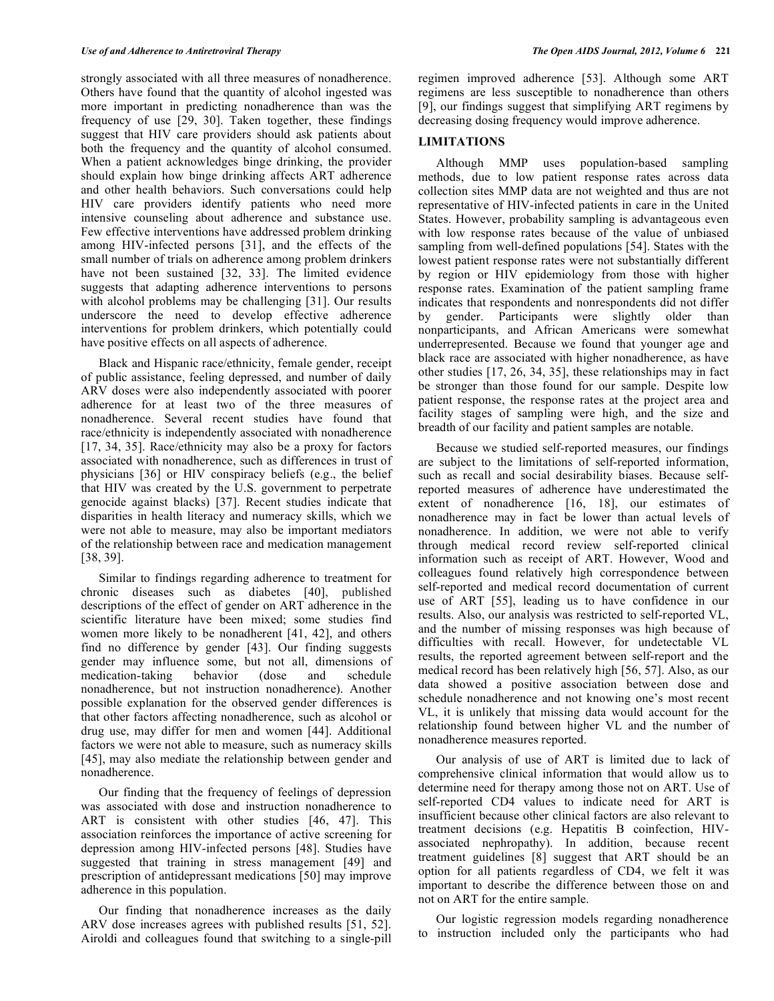strongly associated with all three measures of nonadherence. Others have found that the quantity of alcohol ingested was more important in predicting nonadherence than was the frequency of use [29, 30]. Taken together, these findings suggest that HIV care providers should ask patients about both the frequency and the quantity of alcohol consumed. When a patient acknowledges binge drinking, the provider should explain how binge drinking affects ART adherence and other health behaviors. Such conversations could help HIV care providers identify patients who need more intensive counseling about adherence and substance use. Few effective interventions have addressed problem drinking among HIV-infected persons [31], and the effects of the small number of trials on adherence among problem drinkers have not been sustained [32, 33]. The limited evidence suggests that adapting adherence interventions to persons with alcohol problems may be challenging [31]. Our results underscore the need to develop effective adherence interventions for problem drinkers, which potentially could have positive effects on all aspects of adherence.

 Black and Hispanic race/ethnicity, female gender, receipt of public assistance, feeling depressed, and number of daily ARV doses were also independently associated with poorer adherence for at least two of the three measures of nonadherence. Several recent studies have found that race/ethnicity is independently associated with nonadherence [17, 34, 35]. Race/ethnicity may also be a proxy for factors associated with nonadherence, such as differences in trust of physicians [36] or HIV conspiracy beliefs (e.g., the belief that HIV was created by the U.S. government to perpetrate genocide against blacks) [37]. Recent studies indicate that disparities in health literacy and numeracy skills, which we were not able to measure, may also be important mediators of the relationship between race and medication management [38, 39].

 Similar to findings regarding adherence to treatment for chronic diseases such as diabetes [40], published descriptions of the effect of gender on ART adherence in the scientific literature have been mixed; some studies find women more likely to be nonadherent [41, 42], and others find no difference by gender [43]. Our finding suggests gender may influence some, but not all, dimensions of medication-taking behavior (dose and schedule nonadherence, but not instruction nonadherence). Another possible explanation for the observed gender differences is that other factors affecting nonadherence, such as alcohol or drug use, may differ for men and women [44]. Additional factors we were not able to measure, such as numeracy skills [45], may also mediate the relationship between gender and nonadherence.

 Our finding that the frequency of feelings of depression was associated with dose and instruction nonadherence to ART is consistent with other studies [46, 47]. This association reinforces the importance of active screening for depression among HIV-infected persons [48]. Studies have suggested that training in stress management [49] and prescription of antidepressant medications [50] may improve adherence in this population.

 Our finding that nonadherence increases as the daily ARV dose increases agrees with published results [51, 52]. Airoldi and colleagues found that switching to a single-pill regimen improved adherence [53]. Although some ART regimens are less susceptible to nonadherence than others [9], our findings suggest that simplifying ART regimens by decreasing dosing frequency would improve adherence.

### **LIMITATIONS**

 Although MMP uses population-based sampling methods, due to low patient response rates across data collection sites MMP data are not weighted and thus are not representative of HIV-infected patients in care in the United States. However, probability sampling is advantageous even with low response rates because of the value of unbiased sampling from well-defined populations [54]. States with the lowest patient response rates were not substantially different by region or HIV epidemiology from those with higher response rates. Examination of the patient sampling frame indicates that respondents and nonrespondents did not differ by gender. Participants were slightly older than nonparticipants, and African Americans were somewhat underrepresented. Because we found that younger age and black race are associated with higher nonadherence, as have other studies [17, 26, 34, 35], these relationships may in fact be stronger than those found for our sample. Despite low patient response, the response rates at the project area and facility stages of sampling were high, and the size and breadth of our facility and patient samples are notable.

 Because we studied self-reported measures, our findings are subject to the limitations of self-reported information, such as recall and social desirability biases. Because selfreported measures of adherence have underestimated the extent of nonadherence [16, 18], our estimates of nonadherence may in fact be lower than actual levels of nonadherence. In addition, we were not able to verify through medical record review self-reported clinical information such as receipt of ART. However, Wood and colleagues found relatively high correspondence between self-reported and medical record documentation of current use of ART [55], leading us to have confidence in our results. Also, our analysis was restricted to self-reported VL, and the number of missing responses was high because of difficulties with recall. However, for undetectable VL results, the reported agreement between self-report and the medical record has been relatively high [56, 57]. Also, as our data showed a positive association between dose and schedule nonadherence and not knowing one's most recent VL, it is unlikely that missing data would account for the relationship found between higher VL and the number of nonadherence measures reported.

 Our analysis of use of ART is limited due to lack of comprehensive clinical information that would allow us to determine need for therapy among those not on ART. Use of self-reported CD4 values to indicate need for ART is insufficient because other clinical factors are also relevant to treatment decisions (e.g. Hepatitis B coinfection, HIVassociated nephropathy). In addition, because recent treatment guidelines [8] suggest that ART should be an option for all patients regardless of CD4, we felt it was important to describe the difference between those on and not on ART for the entire sample.

 Our logistic regression models regarding nonadherence to instruction included only the participants who had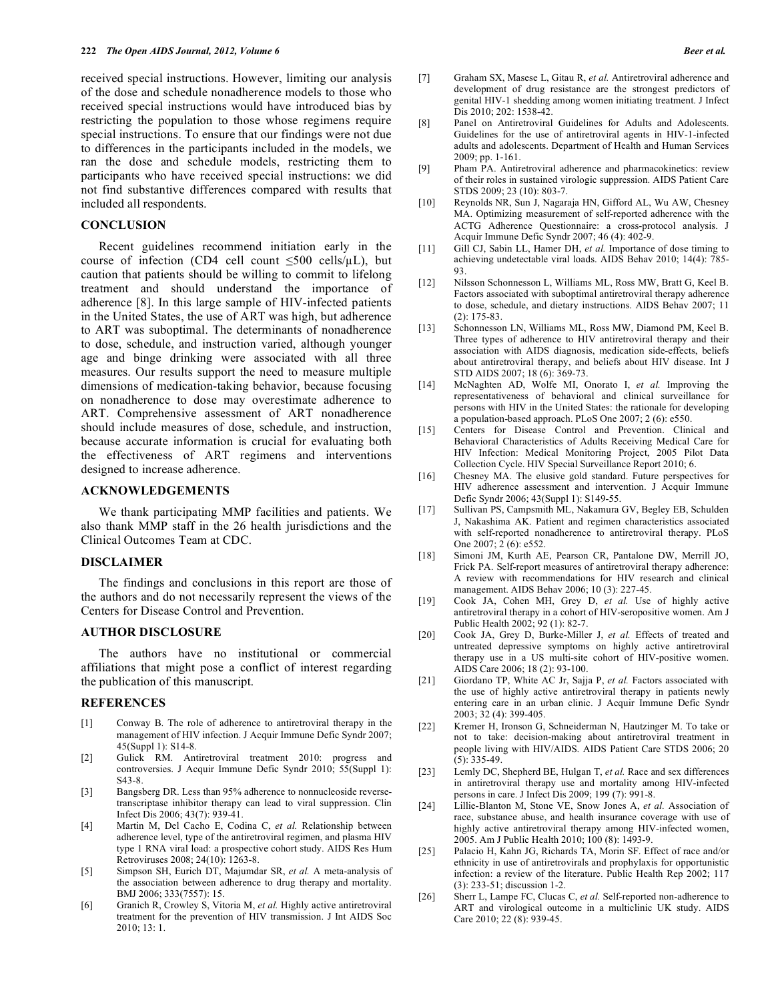received special instructions. However, limiting our analysis of the dose and schedule nonadherence models to those who received special instructions would have introduced bias by restricting the population to those whose regimens require special instructions. To ensure that our findings were not due to differences in the participants included in the models, we ran the dose and schedule models, restricting them to participants who have received special instructions: we did not find substantive differences compared with results that included all respondents.

#### **CONCLUSION**

 Recent guidelines recommend initiation early in the course of infection (CD4 cell count  $\leq 500$  cells/ $\mu$ L), but caution that patients should be willing to commit to lifelong treatment and should understand the importance of adherence [8]. In this large sample of HIV-infected patients in the United States, the use of ART was high, but adherence to ART was suboptimal. The determinants of nonadherence to dose, schedule, and instruction varied, although younger age and binge drinking were associated with all three measures. Our results support the need to measure multiple dimensions of medication-taking behavior, because focusing on nonadherence to dose may overestimate adherence to ART. Comprehensive assessment of ART nonadherence should include measures of dose, schedule, and instruction, because accurate information is crucial for evaluating both the effectiveness of ART regimens and interventions designed to increase adherence.

#### **ACKNOWLEDGEMENTS**

 We thank participating MMP facilities and patients. We also thank MMP staff in the 26 health jurisdictions and the Clinical Outcomes Team at CDC.

#### **DISCLAIMER**

 The findings and conclusions in this report are those of the authors and do not necessarily represent the views of the Centers for Disease Control and Prevention.

## **AUTHOR DISCLOSURE**

 The authors have no institutional or commercial affiliations that might pose a conflict of interest regarding the publication of this manuscript.

#### **REFERENCES**

- [1] Conway B. The role of adherence to antiretroviral therapy in the management of HIV infection. J Acquir Immune Defic Syndr 2007; 45(Suppl 1): S14-8.
- [2] Gulick RM. Antiretroviral treatment 2010: progress and controversies. J Acquir Immune Defic Syndr 2010; 55(Suppl 1): S43-8.
- [3] Bangsberg DR. Less than 95% adherence to nonnucleoside reversetranscriptase inhibitor therapy can lead to viral suppression. Clin Infect Dis 2006; 43(7): 939-41.
- [4] Martin M, Del Cacho E, Codina C, *et al.* Relationship between adherence level, type of the antiretroviral regimen, and plasma HIV type 1 RNA viral load: a prospective cohort study. AIDS Res Hum Retroviruses 2008; 24(10): 1263-8.
- [5] Simpson SH, Eurich DT, Majumdar SR, *et al.* A meta-analysis of the association between adherence to drug therapy and mortality. BMJ 2006; 333(7557): 15.
- [6] Granich R, Crowley S, Vitoria M, *et al.* Highly active antiretroviral treatment for the prevention of HIV transmission. J Int AIDS Soc 2010; 13: 1.
- [7] Graham SX, Masese L, Gitau R, *et al.* Antiretroviral adherence and development of drug resistance are the strongest predictors of genital HIV-1 shedding among women initiating treatment. J Infect Dis 2010; 202: 1538-42.
- [8] Panel on Antiretroviral Guidelines for Adults and Adolescents. Guidelines for the use of antiretroviral agents in HIV-1-infected adults and adolescents. Department of Health and Human Services 2009; pp. 1-161.
- [9] Pham PA. Antiretroviral adherence and pharmacokinetics: review of their roles in sustained virologic suppression. AIDS Patient Care STDS 2009; 23 (10): 803-7.
- [10] Reynolds NR, Sun J, Nagaraja HN, Gifford AL, Wu AW, Chesney MA. Optimizing measurement of self-reported adherence with the ACTG Adherence Questionnaire: a cross-protocol analysis. J Acquir Immune Defic Syndr 2007; 46 (4): 402-9.
- [11] Gill CJ, Sabin LL, Hamer DH, *et al.* Importance of dose timing to achieving undetectable viral loads. AIDS Behav 2010; 14(4): 785- 93.
- [12] Nilsson Schonnesson L, Williams ML, Ross MW, Bratt G, Keel B. Factors associated with suboptimal antiretroviral therapy adherence to dose, schedule, and dietary instructions. AIDS Behav 2007; 11 (2): 175-83.
- [13] Schonnesson LN, Williams ML, Ross MW, Diamond PM, Keel B. Three types of adherence to HIV antiretroviral therapy and their association with AIDS diagnosis, medication side-effects, beliefs about antiretroviral therapy, and beliefs about HIV disease. Int J STD AIDS 2007; 18 (6): 369-73.
- [14] McNaghten AD, Wolfe MI, Onorato I, *et al.* Improving the representativeness of behavioral and clinical surveillance for persons with HIV in the United States: the rationale for developing a population-based approach. PLoS One 2007; 2 (6): e550.
- [15] Centers for Disease Control and Prevention. Clinical and Behavioral Characteristics of Adults Receiving Medical Care for HIV Infection: Medical Monitoring Project, 2005 Pilot Data Collection Cycle. HIV Special Surveillance Report 2010; 6.
- [16] Chesney MA. The elusive gold standard. Future perspectives for HIV adherence assessment and intervention. J Acquir Immune Defic Syndr 2006; 43(Suppl 1): S149-55.
- [17] Sullivan PS, Campsmith ML, Nakamura GV, Begley EB, Schulden J, Nakashima AK. Patient and regimen characteristics associated with self-reported nonadherence to antiretroviral therapy. PLoS One 2007; 2 (6): e552.
- [18] Simoni JM, Kurth AE, Pearson CR, Pantalone DW, Merrill JO, Frick PA. Self-report measures of antiretroviral therapy adherence: A review with recommendations for HIV research and clinical management. AIDS Behav 2006; 10 (3): 227-45.
- [19] Cook JA, Cohen MH, Grey D, *et al.* Use of highly active antiretroviral therapy in a cohort of HIV-seropositive women. Am J Public Health 2002; 92 (1): 82-7.
- [20] Cook JA, Grey D, Burke-Miller J, *et al.* Effects of treated and untreated depressive symptoms on highly active antiretroviral therapy use in a US multi-site cohort of HIV-positive women. AIDS Care 2006; 18 (2): 93-100.
- [21] Giordano TP, White AC Jr, Sajja P, *et al.* Factors associated with the use of highly active antiretroviral therapy in patients newly entering care in an urban clinic. J Acquir Immune Defic Syndr 2003; 32 (4): 399-405.
- [22] Kremer H, Ironson G, Schneiderman N, Hautzinger M. To take or not to take: decision-making about antiretroviral treatment in people living with HIV/AIDS. AIDS Patient Care STDS 2006; 20 (5): 335-49.
- [23] Lemly DC, Shepherd BE, Hulgan T, *et al.* Race and sex differences in antiretroviral therapy use and mortality among HIV-infected persons in care. J Infect Dis 2009; 199 (7): 991-8.
- [24] Lillie-Blanton M, Stone VE, Snow Jones A, *et al.* Association of race, substance abuse, and health insurance coverage with use of highly active antiretroviral therapy among HIV-infected women, 2005. Am J Public Health 2010; 100 (8): 1493-9.
- [25] Palacio H, Kahn JG, Richards TA, Morin SF. Effect of race and/or ethnicity in use of antiretrovirals and prophylaxis for opportunistic infection: a review of the literature. Public Health Rep 2002; 117 (3): 233-51; discussion 1-2.
- [26] Sherr L, Lampe FC, Clucas C, *et al.* Self-reported non-adherence to ART and virological outcome in a multiclinic UK study. AIDS Care 2010; 22 (8): 939-45.